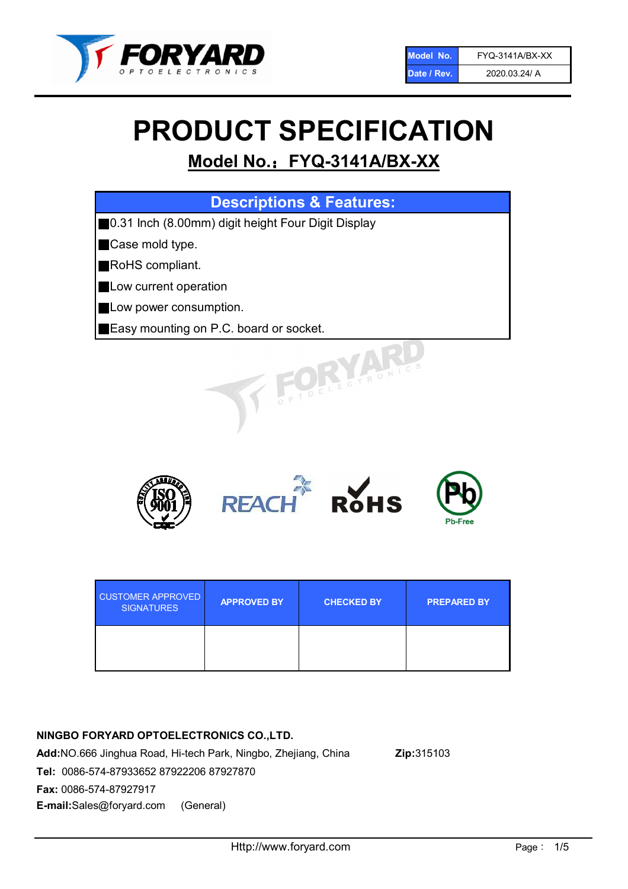

# PRODUCT SPECIFICATION

# Model No.: FYQ-3141A/BX-XX

| <b>Descriptions &amp; Features:</b>                |
|----------------------------------------------------|
| 0.31 Inch (8.00mm) digit height Four Digit Display |
| Case mold type.                                    |
| RoHS compliant.                                    |
| Low current operation                              |
| Low power consumption.                             |
| Easy mounting on P.C. board or socket.             |
| TOELE CTRONIC                                      |



| <b>CUSTOMER APPROVED</b><br><b>SIGNATURES</b> | <b>APPROVED BY</b> | <b>CHECKED BY</b> | <b>PREPARED BY</b> |
|-----------------------------------------------|--------------------|-------------------|--------------------|
|                                               |                    |                   |                    |

## NINGBO FORYARD OPTOELECTRONICS CO.,LTD.

Add:NO.666 Jinghua Road, Hi-tech Park, Ningbo, Zhejiang, China Zip:315103 Tel: 0086-574-87933652 87922206 87927870 Fax: 0086-574-87927917 E-mail:Sales@foryard.com (General)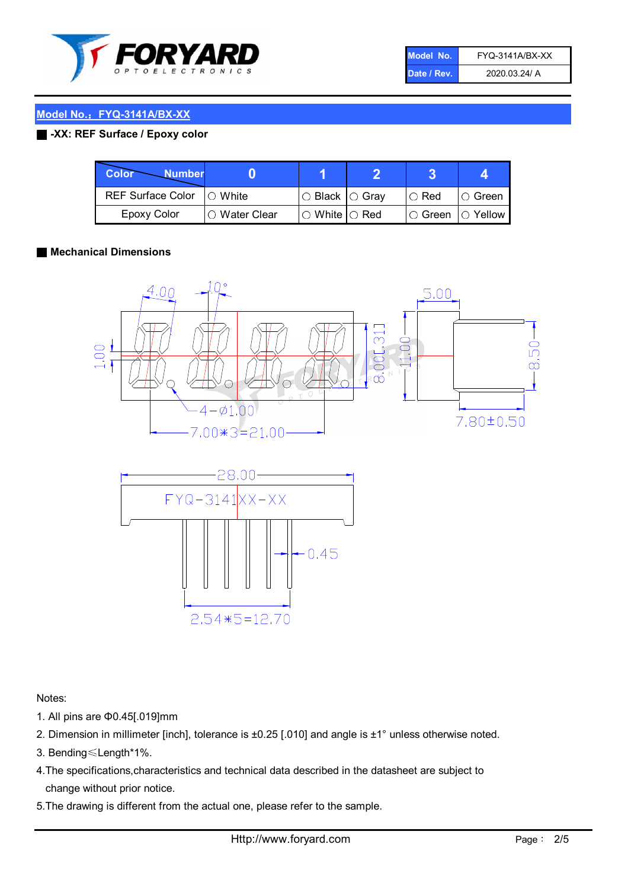

| Model No.   | <b>FYQ-3141A/BX-XX</b> |
|-------------|------------------------|
| Date / Rev. | 2020.03.24/ A          |

#### ■ -XX: REF Surface / Epoxy color

| Color<br><b>Number</b>      |                |                                                   |               |                   |
|-----------------------------|----------------|---------------------------------------------------|---------------|-------------------|
| REF Surface Color   O White |                | $\circ$ Black $\circ$ Gray                        | $\circ$ Red   | $\circ$ Green     |
| Epoxy Color                 | I∩ Water Clear | $\mathbin{\varcap}$ White $\mathbin{\varcap}$ Red | $\circ$ Green | $\bigcirc$ Yellow |

#### ■ Mechanical Dimensions



 $0.45$ 

Notes:

- 1. All pins are Φ0.45[.019]mm
- 2. Dimension in millimeter [inch], tolerance is ±0.25 [.010] and angle is ±1° unless otherwise noted.

 $2.54*5=12.70$ 

- 3. Bending≤Length\*1%.
- 4.The specifications,characteristics and technical data described in the datasheet are subject to change without prior notice.
- 5.The drawing is different from the actual one, please refer to the sample.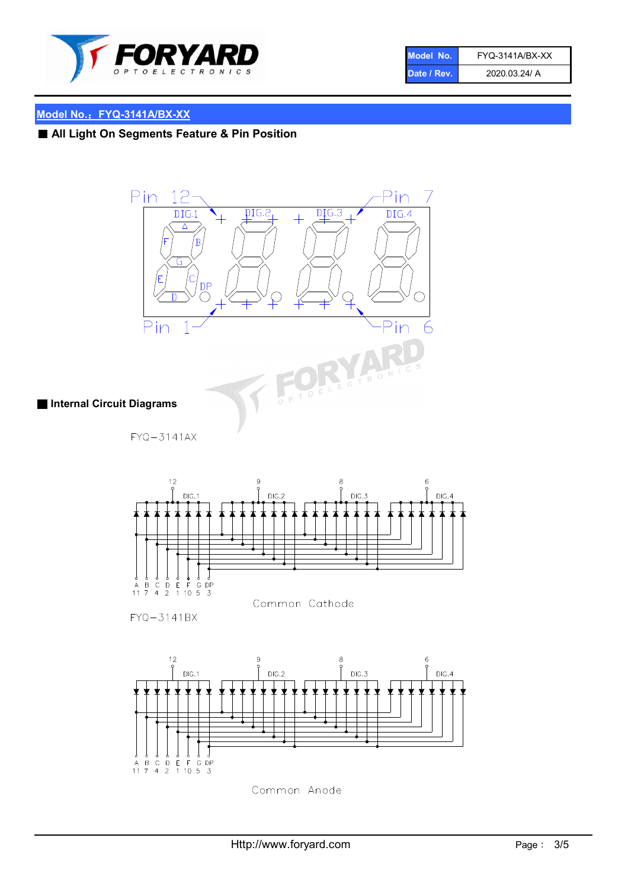

| Model No.   | FYQ-3141A/BX-XX |
|-------------|-----------------|
| Date / Rev. | 2020.03.24/ A   |

# ■ All Light On Segments Feature & Pin Position





 $FYQ - 3141BX$ 



Common Anode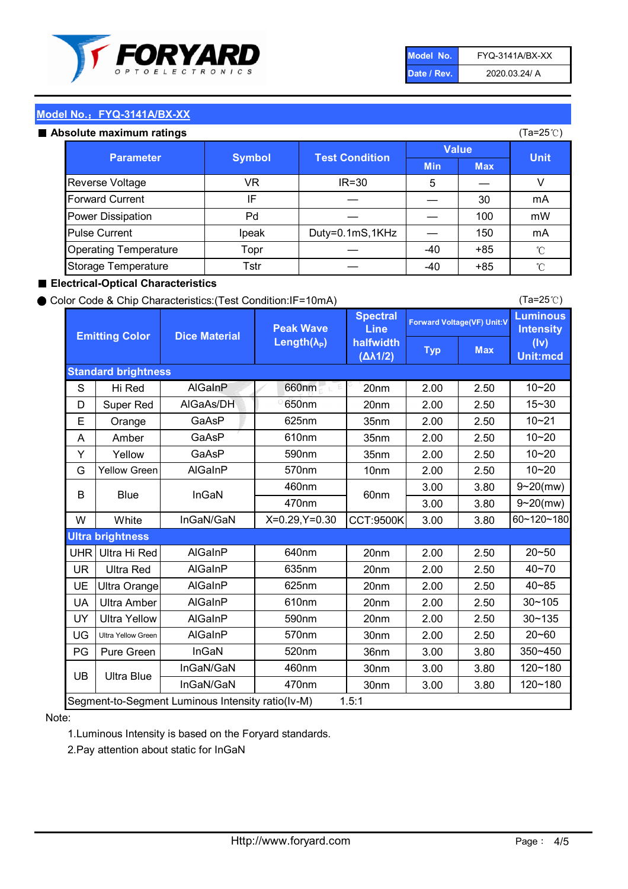

| Model No.   | <b>FYO-3141A/BX-XX</b> |
|-------------|------------------------|
| Date / Rev. | 2020.03.24/ A          |

#### Absolute maximum ratings

| סטוענט וווסגוווועווו וסנווועס |               |                       |              |            | $(1a-ZUV)$   |
|-------------------------------|---------------|-----------------------|--------------|------------|--------------|
| <b>Parameter</b>              | <b>Symbol</b> | <b>Test Condition</b> | <b>Value</b> |            | <b>Unit</b>  |
|                               |               |                       | <b>Min</b>   | <b>Max</b> |              |
| Reverse Voltage               | VR.           | $IR = 30$             | 5            |            |              |
| <b>Forward Current</b>        | IF            |                       |              | 30         | mA           |
| Power Dissipation             | Pd            |                       |              | 100        | mW           |
| <b>Pulse Current</b>          | Ipeak         | Duty=0.1mS,1KHz       |              | 150        | mA           |
| <b>Operating Temperature</b>  | Topr          |                       | $-40$        | $+85$      | $^{\circ}$ C |
| Storage Temperature           | Tstr          |                       | -40          | $+85$      | °C           |

#### ■ Electrical-Optical Characteristics

#### ● Color Code & Chip Characteristics:(Test Condition:IF=10mA)

Typ Max S | Hi $\textsf{Red}$  | AlGaInP | 660nm LE 20nm | 2.00 | 2.50 D | Super Red | AIGaAs/DH | 650nm | 20nm | 2.00 | 2.50 E | Orange | GaAsP | 625nm | 35nm | 2.00 | 2.50 A | Amber | GaAsP | 610nm | 35nm | 2.00 | 2.50 Y | Yellow | GaAsP | 590nm | 35nm | 2.00 | 2.50 G Yellow Green AIGaInP | 570nm | 10nm | 2.00 | 2.50 3.00 3.80 3.00 3.80 W | White | InGaN/GaN | X=0.29,Y=0.30 |CCT:9500K| 3.00 | 3.80 UHR Ultra Hi Red  $\vert$  AIGaInP  $\vert$  640nm  $\vert$  20nm  $\vert$  2.00  $\vert$  2.50 UR | Ultra Red | AlGaInP | 635nm | 20nm | 2.00 | 2.50 UE Ultra Orange | AIGaInP | 625nm | 20nm | 2.00 | 2.50 UA Ultra Amber | AIGaInP | 610nm | 20nm | 2.00 | 2.50  $UV$  Ultra Yellow  $\vert$  AlGaInP  $\vert$  590nm  $\vert$  20nm  $\vert$  2.00  $\vert$  2.50  $\text{UG}$  Ultra Yellow Green | AIGaInP | 570nm | 30nm | 2.00 | 2.50 PG | Pure Green | InGaN | 520nm | 36nm | 3.00 | 3.80 30nm 3.00 3.80 30nm 3.00 3.80 10~20 Standard brightness Forward Voltage(VF) Unit:V 15~30 10~20 10~20 625nm GaAsP 590nm **Emitting Color Dice Material** 10~21 610nm Luminous **Intensity** (Iv) Unit:mcd AlGainP 660nm GaAsP GaAsP AlGaAs/DH **Spectral** Line halfwidth (∆λ1/2) Peak Wave Length $(\lambda_{\rm P})$ UB 460nm 635nm AlGaInP AlGaInP AlGaInP InGaN/GaN AlGaInP | 570nm | 10nm | 2.00 | 2.50 | 10~20 30~105 30~135 460nm 520nm Ultra brightness **AlGaInP** AlGaInP 60nm AlGaInP 640nm Segment-to-Segment Luminous Intensity ratio(Iv-M) 1.5:1 610nm 9~20(mw) 350~450 470nm 120~180 120~180 Ultra Blue InGaN/GaN 9~20(mw) 20~50 570nm | 30nm | 2.00 | 2.50 | 20~60 470nm 590nm InGaN/GaN B Blue I InGaN 40~85 60~120~180 40~70

#### Note:

1.Luminous Intensity is based on the Foryard standards.

2.Pay attention about static for InGaN

(Ta=25℃)

(Ta=25℃)